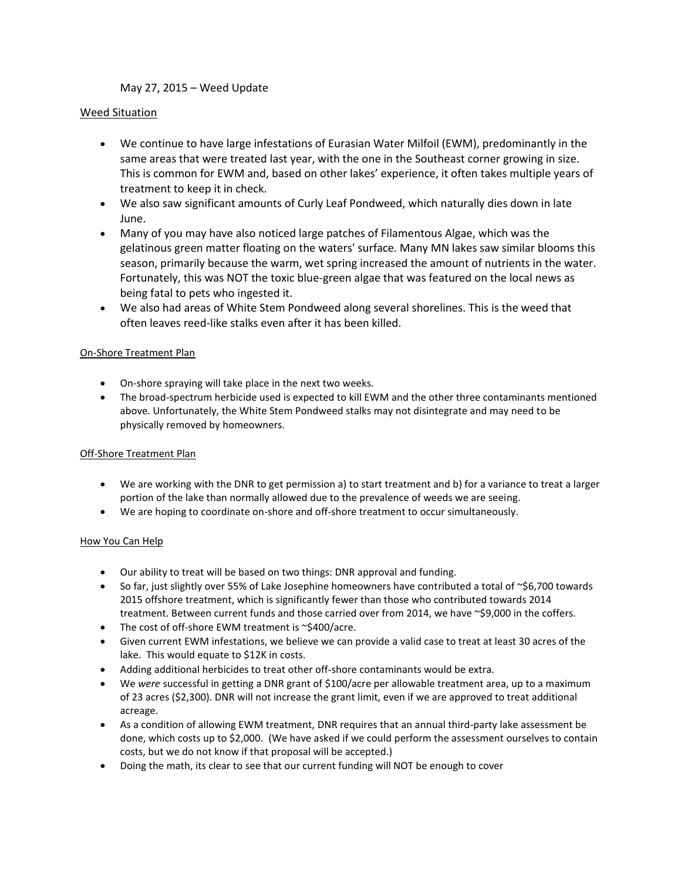# May 27, 2015 – Weed Update

## Weed Situation

- We continue to have large infestations of Eurasian Water Milfoil (EWM), predominantly in the same areas that were treated last year, with the one in the Southeast corner growing in size. This is common for EWM and, based on other lakes' experience, it often takes multiple years of treatment to keep it in check.
- We also saw significant amounts of Curly Leaf Pondweed, which naturally dies down in late June.
- Many of you may have also noticed large patches of Filamentous Algae, which was the gelatinous green matter floating on the waters' surface. Many MN lakes saw similar blooms this season, primarily because the warm, wet spring increased the amount of nutrients in the water. Fortunately, this was NOT the toxic blue-green algae that was featured on the local news as being fatal to pets who ingested it.
- We also had areas of White Stem Pondweed along several shorelines. This is the weed that often leaves reed-like stalks even after it has been killed.

### On-Shore Treatment Plan

- On-shore spraying will take place in the next two weeks.
- The broad-spectrum herbicide used is expected to kill EWM and the other three contaminants mentioned above. Unfortunately, the White Stem Pondweed stalks may not disintegrate and may need to be physically removed by homeowners.

### Off-Shore Treatment Plan

- We are working with the DNR to get permission a) to start treatment and b) for a variance to treat a larger portion of the lake than normally allowed due to the prevalence of weeds we are seeing.
- We are hoping to coordinate on-shore and off-shore treatment to occur simultaneously.

### How You Can Help

- Our ability to treat will be based on two things: DNR approval and funding.
- $\bullet$  So far, just slightly over 55% of Lake Josephine homeowners have contributed a total of ~\$6,700 towards 2015 offshore treatment, which is significantly fewer than those who contributed towards 2014 treatment. Between current funds and those carried over from 2014, we have ~\$9,000 in the coffers.
- The cost of off-shore EWM treatment is ~\$400/acre.
- Given current EWM infestations, we believe we can provide a valid case to treat at least 30 acres of the lake. This would equate to \$12K in costs.
- Adding additional herbicides to treat other off-shore contaminants would be extra.
- We *were* successful in getting a DNR grant of \$100/acre per allowable treatment area, up to a maximum of 23 acres (\$2,300). DNR will not increase the grant limit, even if we are approved to treat additional acreage.
- As a condition of allowing EWM treatment, DNR requires that an annual third-party lake assessment be done, which costs up to \$2,000. (We have asked if we could perform the assessment ourselves to contain costs, but we do not know if that proposal will be accepted.)
- Doing the math, its clear to see that our current funding will NOT be enough to cover